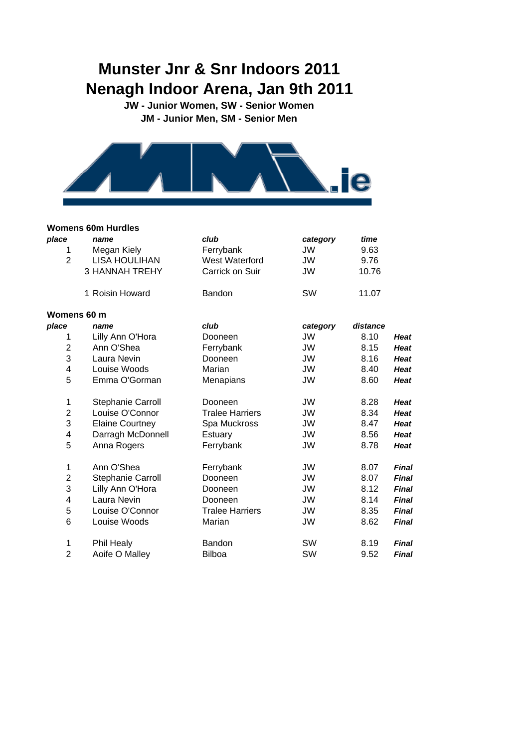# **Munster Jnr & Snr Indoors 2011 Nenagh Indoor Arena, Jan 9th 2011**

**JW - Junior Women, SW - Senior Women JM - Junior Men, SM - Senior Men**



#### **Womens 60m Hurdles**

| place                   | name                   | club                   | category  | time     |              |
|-------------------------|------------------------|------------------------|-----------|----------|--------------|
| 1                       | Megan Kiely            | Ferrybank              | JW        | 9.63     |              |
| $\overline{2}$          | <b>LISA HOULIHAN</b>   | West Waterford         | JW        | 9.76     |              |
|                         | <b>3 HANNAH TREHY</b>  | Carrick on Suir        | JW        | 10.76    |              |
|                         | 1 Roisin Howard        | Bandon                 | SW        | 11.07    |              |
| Womens 60 m             |                        |                        |           |          |              |
| place                   | name                   | club                   | category  | distance |              |
| 1                       | Lilly Ann O'Hora       | Dooneen                | <b>JW</b> | 8.10     | <b>Heat</b>  |
| $\overline{2}$          | Ann O'Shea             | Ferrybank              | <b>JW</b> | 8.15     | <b>Heat</b>  |
| 3                       | Laura Nevin            | Dooneen                | JW        | 8.16     | <b>Heat</b>  |
| $\overline{\mathbf{4}}$ | Louise Woods           | Marian                 | JW        | 8.40     | <b>Heat</b>  |
| 5                       | Emma O'Gorman          | Menapians              | <b>JW</b> | 8.60     | <b>Heat</b>  |
| 1                       | Stephanie Carroll      | Dooneen                | JW        | 8.28     | <b>Heat</b>  |
| $\overline{2}$          | Louise O'Connor        | <b>Tralee Harriers</b> | JW        | 8.34     | <b>Heat</b>  |
| 3                       | <b>Elaine Courtney</b> | Spa Muckross           | JW        | 8.47     | <b>Heat</b>  |
| $\overline{\mathbf{4}}$ | Darragh McDonnell      | Estuary                | JW        | 8.56     | <b>Heat</b>  |
| 5                       | Anna Rogers            | Ferrybank              | <b>JW</b> | 8.78     | <b>Heat</b>  |
| $\mathbf 1$             | Ann O'Shea             | Ferrybank              | JW        | 8.07     | Final        |
| $\overline{c}$          | Stephanie Carroll      | Dooneen                | JW        | 8.07     | Final        |
| 3                       | Lilly Ann O'Hora       | Dooneen                | <b>JW</b> | 8.12     | <b>Final</b> |
| 4                       | Laura Nevin            | Dooneen                | JW        | 8.14     | <b>Final</b> |
| 5                       | Louise O'Connor        | <b>Tralee Harriers</b> | <b>JW</b> | 8.35     | Final        |
| 6                       | Louise Woods           | Marian                 | JW        | 8.62     | <b>Final</b> |
| 1                       | Phil Healy             | Bandon                 | SW        | 8.19     | Final        |
| $\overline{2}$          | Aoife O Malley         | <b>Bilboa</b>          | SW        | 9.52     | Final        |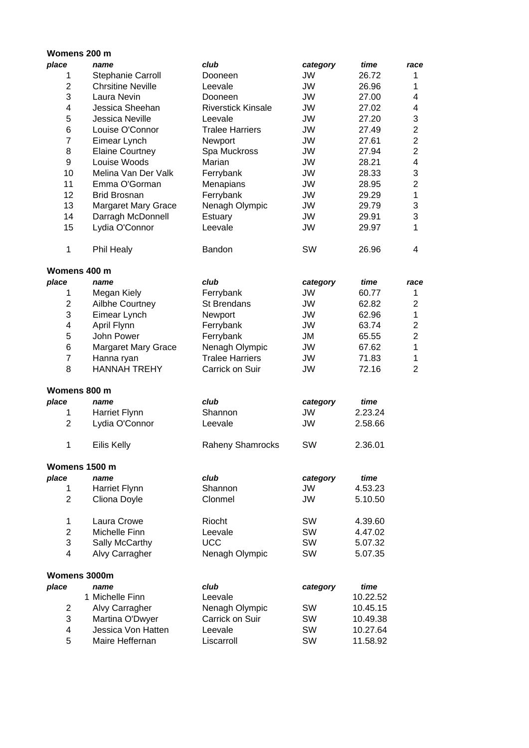## **Womens 200 m**

| place                   | name                       | club                      | category  | time     | race                      |
|-------------------------|----------------------------|---------------------------|-----------|----------|---------------------------|
| 1                       | Stephanie Carroll          | Dooneen                   | JW        | 26.72    | 1                         |
| $\boldsymbol{2}$        | <b>Chrsitine Neville</b>   | Leevale                   | <b>JW</b> | 26.96    | 1                         |
| 3                       | Laura Nevin                | Dooneen                   | <b>JW</b> | 27.00    | 4                         |
| 4                       | Jessica Sheehan            | <b>Riverstick Kinsale</b> | <b>JW</b> | 27.02    | 4                         |
| 5                       | Jessica Neville            | Leevale                   | <b>JW</b> | 27.20    | $\mathbf{3}$              |
| 6                       | Louise O'Connor            | <b>Tralee Harriers</b>    | <b>JW</b> | 27.49    | $\overline{2}$            |
| $\overline{7}$          | Eimear Lynch               | Newport                   | JW        | 27.61    | $\overline{2}$            |
| 8                       |                            |                           | JW        | 27.94    | $\overline{2}$            |
|                         | <b>Elaine Courtney</b>     | Spa Muckross              |           |          |                           |
| 9                       | Louise Woods               | Marian                    | JW        | 28.21    | 4                         |
| 10                      | Melina Van Der Valk        | Ferrybank                 | JW        | 28.33    | $\ensuremath{\mathsf{3}}$ |
| 11                      | Emma O'Gorman              | Menapians                 | JW        | 28.95    | $\overline{2}$            |
| 12                      | <b>Brid Brosnan</b>        | Ferrybank                 | JW        | 29.29    | 1                         |
| 13                      | <b>Margaret Mary Grace</b> | Nenagh Olympic            | JW        | 29.79    | $\ensuremath{\mathsf{3}}$ |
| 14                      | Darragh McDonnell          | Estuary                   | JW        | 29.91    | 3                         |
| 15                      | Lydia O'Connor             | Leevale                   | JW        | 29.97    | 1                         |
| 1                       | Phil Healy                 | Bandon                    | SW        | 26.96    | 4                         |
| Womens 400 m            |                            |                           |           |          |                           |
| place                   | name                       | club                      | category  | time     | race                      |
| 1                       | Megan Kiely                | Ferrybank                 | JW        | 60.77    | 1                         |
| $\overline{2}$          | Ailbhe Courtney            | <b>St Brendans</b>        | JW        | 62.82    | $\overline{2}$            |
| 3                       | Eimear Lynch               | Newport                   | JW        | 62.96    | 1                         |
| 4                       | April Flynn                | Ferrybank                 | JW        | 63.74    | $\overline{2}$            |
| 5                       | John Power                 | Ferrybank                 | JM        | 65.55    | $\overline{2}$            |
| $\,6$                   | <b>Margaret Mary Grace</b> | Nenagh Olympic            | JW        | 67.62    | 1                         |
| $\overline{7}$          | Hanna ryan                 | <b>Tralee Harriers</b>    | JW        | 71.83    | 1                         |
| 8                       | <b>HANNAH TREHY</b>        | Carrick on Suir           | <b>JW</b> | 72.16    | $\overline{2}$            |
| Womens 800 m            |                            |                           |           |          |                           |
| place                   | name                       | club                      | category  | time     |                           |
| 1                       | Harriet Flynn              | Shannon                   | JW        | 2.23.24  |                           |
| $\overline{2}$          | Lydia O'Connor             | Leevale                   | JW        | 2.58.66  |                           |
|                         |                            |                           |           |          |                           |
| 1                       | <b>Eilis Kelly</b>         | <b>Raheny Shamrocks</b>   | SW        | 2.36.01  |                           |
| Womens 1500 m           |                            |                           |           |          |                           |
| place                   | name                       | club                      | category  | time     |                           |
| 1                       | Harriet Flynn              | Shannon                   | JW        | 4.53.23  |                           |
| $\overline{2}$          | Cliona Doyle               | Clonmel                   | JW        | 5.10.50  |                           |
| 1                       | Laura Crowe                | Riocht                    | SW        | 4.39.60  |                           |
| $\overline{2}$          | Michelle Finn              | Leevale                   | SW        | 4.47.02  |                           |
| 3                       | Sally McCarthy             | <b>UCC</b>                | SW        | 5.07.32  |                           |
| 4                       | Alvy Carragher             | Nenagh Olympic            | SW        | 5.07.35  |                           |
| Womens 3000m            |                            |                           |           |          |                           |
| place                   | name                       | club                      | category  | time     |                           |
|                         | 1 Michelle Finn            | Leevale                   |           | 10.22.52 |                           |
| $\overline{2}$          | Alvy Carragher             | Nenagh Olympic            | SW        | 10.45.15 |                           |
| 3                       | Martina O'Dwyer            | Carrick on Suir           | SW        | 10.49.38 |                           |
| $\overline{\mathbf{4}}$ | Jessica Von Hatten         | Leevale                   | SW        | 10.27.64 |                           |
| 5                       | Maire Heffernan            | Liscarroll                | SW        | 11.58.92 |                           |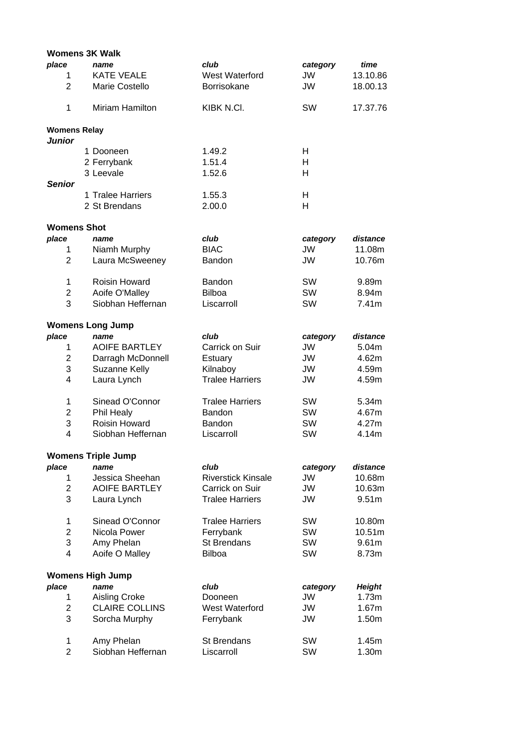|                     | <b>Womens 3K Walk</b>              |                           |           |                   |
|---------------------|------------------------------------|---------------------------|-----------|-------------------|
| place               | name                               | club                      | category  | time              |
| 1                   | <b>KATE VEALE</b>                  | West Waterford            | JW        | 13.10.86          |
| $\overline{2}$      | Marie Costello                     | <b>Borrisokane</b>        | JW        | 18.00.13          |
| 1                   | <b>Miriam Hamilton</b>             | KIBK N.CI.                | SW        | 17.37.76          |
| <b>Womens Relay</b> |                                    |                           |           |                   |
| <b>Junior</b>       | 1 Dooneen                          | 1.49.2                    | H         |                   |
|                     |                                    |                           |           |                   |
|                     | 2 Ferrybank                        | 1.51.4                    | Н         |                   |
|                     | 3 Leevale                          | 1.52.6                    | н         |                   |
| <b>Senior</b>       |                                    |                           |           |                   |
|                     | 1 Tralee Harriers<br>2 St Brendans | 1.55.3<br>2.00.0          | н<br>H    |                   |
|                     |                                    |                           |           |                   |
| <b>Womens Shot</b>  |                                    |                           |           |                   |
| place               | name                               | club                      | category  | distance          |
| 1                   | Niamh Murphy                       | <b>BIAC</b>               | <b>JW</b> | 11.08m            |
| $\overline{2}$      | Laura McSweeney                    | <b>Bandon</b>             | JW        | 10.76m            |
| 1                   | <b>Roisin Howard</b>               | Bandon                    | SW        | 9.89m             |
| 2                   | Aoife O'Malley                     | <b>Bilboa</b>             | SW        | 8.94m             |
| 3                   | Siobhan Heffernan                  | Liscarroll                | SW        | 7.41m             |
|                     | <b>Womens Long Jump</b>            |                           |           |                   |
| place               | name                               | club                      | category  | distance          |
| 1                   | <b>AOIFE BARTLEY</b>               | Carrick on Suir           | JW        | 5.04m             |
| $\overline{c}$      | Darragh McDonnell                  | Estuary                   | JW        | 4.62m             |
| 3                   | Suzanne Kelly                      | Kilnaboy                  | JW        | 4.59m             |
| $\overline{4}$      | Laura Lynch                        | <b>Tralee Harriers</b>    | JW        | 4.59m             |
| 1                   | Sinead O'Connor                    | <b>Tralee Harriers</b>    | SW        | 5.34m             |
| 2                   | Phil Healy                         | Bandon                    | SW        | 4.67m             |
| 3                   | Roisin Howard                      | Bandon                    | SW        | 4.27m             |
| 4                   | Siobhan Heffernan                  | Liscarroll                | SW        | 4.14m             |
|                     | <b>Womens Triple Jump</b>          |                           |           |                   |
| place               | name                               | club                      | category  | distance          |
| 1                   | Jessica Sheehan                    | <b>Riverstick Kinsale</b> | JW        | 10.68m            |
| $\overline{2}$      | <b>AOIFE BARTLEY</b>               | Carrick on Suir           | JW        | 10.63m            |
| 3                   | Laura Lynch                        | <b>Tralee Harriers</b>    | JW        | 9.51 <sub>m</sub> |
| 1                   | Sinead O'Connor                    | <b>Tralee Harriers</b>    | SW        | 10.80m            |
| $\overline{2}$      | Nicola Power                       | Ferrybank                 | SW        | 10.51m            |
| 3                   | Amy Phelan                         | <b>St Brendans</b>        | SW        | 9.61m             |
| 4                   | Aoife O Malley                     | <b>Bilboa</b>             | SW        | 8.73m             |
|                     | <b>Womens High Jump</b>            |                           |           |                   |
| place               | name                               | club                      | category  | <b>Height</b>     |
| 1                   | Aisling Croke                      | Dooneen                   | JW        | 1.73m             |
| $\overline{2}$      | <b>CLAIRE COLLINS</b>              | West Waterford            | JW        | 1.67m             |
| 3                   | Sorcha Murphy                      | Ferrybank                 | JW        | 1.50m             |
| 1                   | Amy Phelan                         | <b>St Brendans</b>        | SW        | 1.45m             |
| $\overline{2}$      | Siobhan Heffernan                  | Liscarroll                | SW        | 1.30m             |
|                     |                                    |                           |           |                   |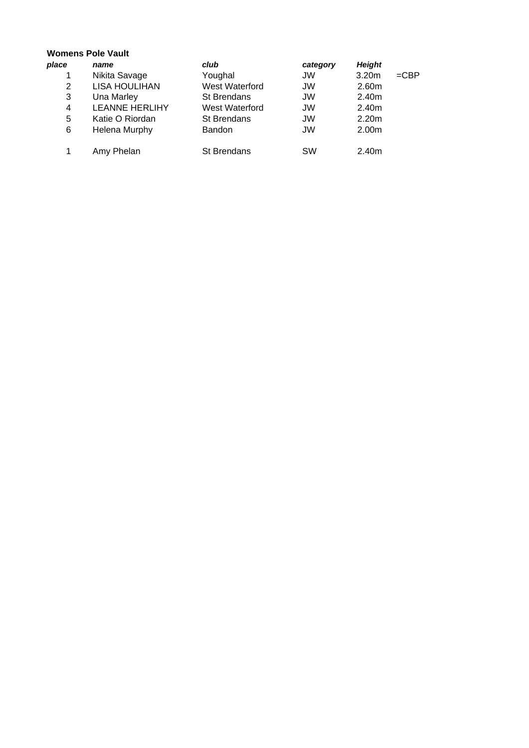## **Womens Pole Vault**

| place | name                  | club               | category  | <b>Height</b>     |         |
|-------|-----------------------|--------------------|-----------|-------------------|---------|
|       | Nikita Savage         | Youghal            | <b>JW</b> | 3.20 <sub>m</sub> | $=$ CBP |
| 2     | <b>LISA HOULIHAN</b>  | West Waterford     | JW        | 2.60m             |         |
| 3     | Una Marley            | <b>St Brendans</b> | JW        | 2.40m             |         |
| 4     | <b>LEANNE HERLIHY</b> | West Waterford     | JW        | 2.40m             |         |
| 5     | Katie O Riordan       | <b>St Brendans</b> | JW        | 2.20 <sub>m</sub> |         |
| 6     | <b>Helena Murphy</b>  | <b>Bandon</b>      | JW        | 2.00m             |         |
|       | Amy Phelan            | <b>St Brendans</b> | <b>SW</b> | 2.40m             |         |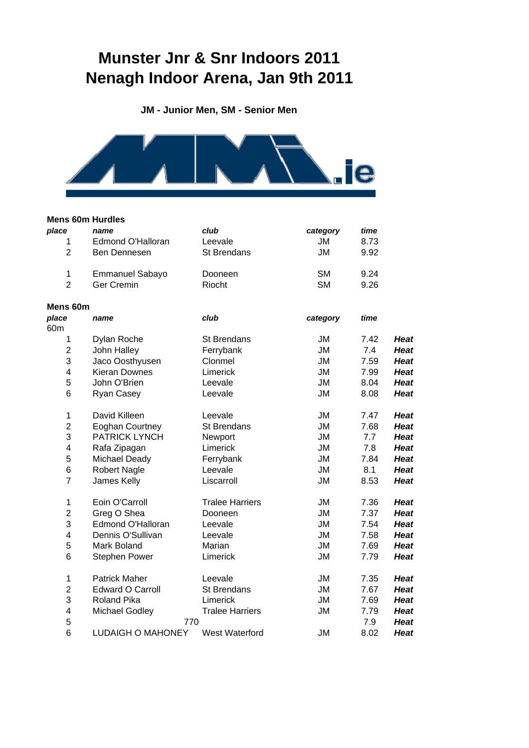# **Munster Jnr & Snr Indoors 2011 Nenagh Indoor Arena, Jan 9th 2011**

**JM - Junior Men, SM - Senior Men**



#### **Mens 60m Hurdles**

| place           | name                     | club                   | category  | time |             |
|-----------------|--------------------------|------------------------|-----------|------|-------------|
| 1               | <b>Edmond O'Halloran</b> | Leevale                | JM        | 8.73 |             |
| $\overline{2}$  | Ben Dennesen             | St Brendans            | <b>JM</b> | 9.92 |             |
| 1               | <b>Emmanuel Sabayo</b>   | Dooneen                | <b>SM</b> | 9.24 |             |
| $\overline{2}$  | <b>Ger Cremin</b>        | Riocht                 | <b>SM</b> | 9.26 |             |
| Mens 60m        |                          |                        |           |      |             |
| place           | name                     | club                   | category  | time |             |
| 60 <sub>m</sub> |                          |                        |           |      |             |
| 1               | Dylan Roche              | <b>St Brendans</b>     | JM        | 7.42 | <b>Heat</b> |
| $\overline{2}$  | John Halley              | Ferrybank              | <b>JM</b> | 7.4  | <b>Heat</b> |
| 3               | Jaco Oosthyusen          | Clonmel                | <b>JM</b> | 7.59 | <b>Heat</b> |
| 4               | <b>Kieran Downes</b>     | Limerick               | <b>JM</b> | 7.99 | <b>Heat</b> |
| 5               | John O'Brien             | Leevale                | <b>JM</b> | 8.04 | <b>Heat</b> |
| 6               | Ryan Casey               | Leevale                | <b>JM</b> | 8.08 | <b>Heat</b> |
| 1               | David Killeen            | Leevale                | <b>JM</b> | 7.47 | <b>Heat</b> |
| $\overline{c}$  | <b>Eoghan Courtney</b>   | St Brendans            | <b>JM</b> | 7.68 | <b>Heat</b> |
| 3               | <b>PATRICK LYNCH</b>     | Newport                | <b>JM</b> | 7.7  | <b>Heat</b> |
| 4               | Rafa Zipagan             | Limerick               | <b>JM</b> | 7.8  | <b>Heat</b> |
| 5               | <b>Michael Deady</b>     | Ferrybank              | <b>JM</b> | 7.84 | <b>Heat</b> |
| 6               | <b>Robert Nagle</b>      | Leevale                | <b>JM</b> | 8.1  | <b>Heat</b> |
| $\overline{7}$  | James Kelly              | Liscarroll             | <b>JM</b> | 8.53 | <b>Heat</b> |
| 1               | Eoin O'Carroll           | <b>Tralee Harriers</b> | <b>JM</b> | 7.36 | <b>Heat</b> |
| $\overline{c}$  | Greg O Shea              | Dooneen                | <b>JM</b> | 7.37 | <b>Heat</b> |
| 3               | <b>Edmond O'Halloran</b> | Leevale                | <b>JM</b> | 7.54 | <b>Heat</b> |
| 4               | Dennis O'Sullivan        | Leevale                | <b>JM</b> | 7.58 | <b>Heat</b> |
| 5               | Mark Boland              | Marian                 | JM        | 7.69 | <b>Heat</b> |
| 6               | <b>Stephen Power</b>     | Limerick               | <b>JM</b> | 7.79 | <b>Heat</b> |
| 1               | <b>Patrick Maher</b>     | Leevale                | <b>JM</b> | 7.35 | <b>Heat</b> |
| $\overline{c}$  | <b>Edward O Carroll</b>  | <b>St Brendans</b>     | <b>JM</b> | 7.67 | <b>Heat</b> |
| 3               | <b>Roland Pika</b>       | Limerick               | JM        | 7.69 | <b>Heat</b> |
| 4               | Michael Godley           | <b>Tralee Harriers</b> | <b>JM</b> | 7.79 | <b>Heat</b> |
| 5               |                          | 770                    |           | 7.9  | <b>Heat</b> |
| 6               | <b>LUDAIGH O MAHONEY</b> | West Waterford         | <b>JM</b> | 8.02 | <b>Heat</b> |
|                 |                          |                        |           |      |             |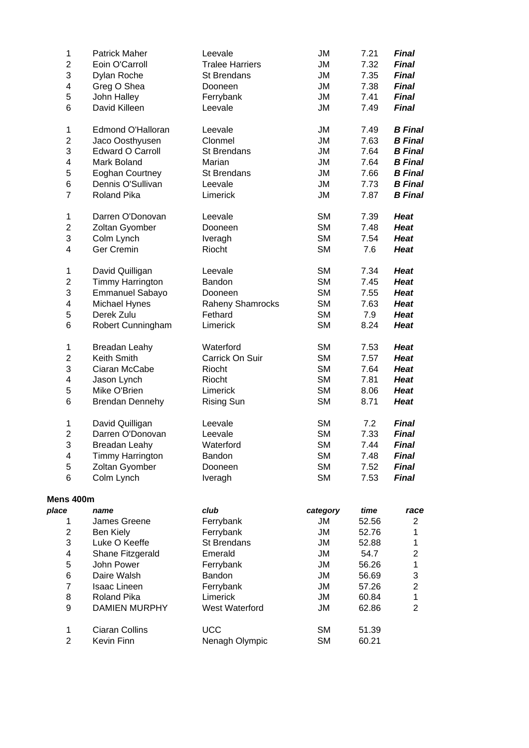| 1              | <b>Patrick Maher</b>    | Leevale                | <b>JM</b> | 7.21  | <b>Final</b>              |
|----------------|-------------------------|------------------------|-----------|-------|---------------------------|
| $\mathbf 2$    | Eoin O'Carroll          | <b>Tralee Harriers</b> | <b>JM</b> | 7.32  | <b>Final</b>              |
| 3              | Dylan Roche             | St Brendans            | <b>JM</b> | 7.35  | <b>Final</b>              |
| 4              | Greg O Shea             | Dooneen                | <b>JM</b> | 7.38  | <b>Final</b>              |
| 5              | John Halley             | Ferrybank              | JM        | 7.41  | <b>Final</b>              |
| 6              | David Killeen           | Leevale                | <b>JM</b> | 7.49  | <b>Final</b>              |
|                |                         |                        |           |       |                           |
| 1              | Edmond O'Halloran       | Leevale                | <b>JM</b> | 7.49  | <b>B</b> Final            |
| 2              | Jaco Oosthyusen         | Clonmel                | <b>JM</b> | 7.63  | <b>B</b> Final            |
| 3              | <b>Edward O Carroll</b> | <b>St Brendans</b>     | <b>JM</b> | 7.64  | <b>B</b> Final            |
| 4              | Mark Boland             | Marian                 | <b>JM</b> | 7.64  | <b>B</b> Final            |
| 5              | Eoghan Courtney         | <b>St Brendans</b>     | <b>JM</b> | 7.66  | <b>B</b> Final            |
| 6              | Dennis O'Sullivan       | Leevale                | <b>JM</b> | 7.73  | <b>B</b> Final            |
| $\overline{7}$ | Roland Pika             | Limerick               | <b>JM</b> | 7.87  | <b>B</b> Final            |
|                |                         |                        |           |       |                           |
| $\mathbf 1$    | Darren O'Donovan        | Leevale                | <b>SM</b> | 7.39  | <b>Heat</b>               |
| 2              | Zoltan Gyomber          | Dooneen                | <b>SM</b> | 7.48  | <b>Heat</b>               |
| 3              | Colm Lynch              | Iveragh                | <b>SM</b> | 7.54  | <b>Heat</b>               |
| 4              | <b>Ger Cremin</b>       | Riocht                 | <b>SM</b> | 7.6   | <b>Heat</b>               |
| $\mathbf 1$    | David Quilligan         | Leevale                | <b>SM</b> | 7.34  | <b>Heat</b>               |
| $\overline{c}$ | <b>Timmy Harrington</b> | Bandon                 | <b>SM</b> | 7.45  | <b>Heat</b>               |
| 3              | <b>Emmanuel Sabayo</b>  | Dooneen                | <b>SM</b> | 7.55  | <b>Heat</b>               |
| 4              | Michael Hynes           |                        | <b>SM</b> | 7.63  | <b>Heat</b>               |
|                |                         | Raheny Shamrocks       | <b>SM</b> |       |                           |
| 5              | Derek Zulu              | Fethard                |           | 7.9   | <b>Heat</b>               |
| 6              | Robert Cunningham       | Limerick               | <b>SM</b> | 8.24  | <b>Heat</b>               |
| 1              | <b>Breadan Leahy</b>    | Waterford              | <b>SM</b> | 7.53  | <b>Heat</b>               |
| $\overline{c}$ | Keith Smith             | Carrick On Suir        | <b>SM</b> | 7.57  | <b>Heat</b>               |
| 3              | Ciaran McCabe           | Riocht                 | <b>SM</b> | 7.64  | <b>Heat</b>               |
| 4              | Jason Lynch             | Riocht                 | <b>SM</b> | 7.81  | <b>Heat</b>               |
| 5              | Mike O'Brien            | Limerick               | <b>SM</b> | 8.06  | <b>Heat</b>               |
| 6              | <b>Brendan Dennehy</b>  | <b>Rising Sun</b>      | <b>SM</b> | 8.71  | <b>Heat</b>               |
|                |                         |                        |           |       |                           |
| 1              | David Quilligan         | Leevale                | <b>SM</b> | 7.2   | <b>Final</b>              |
| $\overline{c}$ | Darren O'Donovan        | Leevale                | <b>SM</b> | 7.33  | <b>Final</b>              |
| 3              | Breadan Leahy           | Waterford              | <b>SM</b> | 7.44  | Final                     |
| 4              | <b>Timmy Harrington</b> | <b>Bandon</b>          | <b>SM</b> | 7.48  | <b>Final</b>              |
| 5              | Zoltan Gyomber          | Dooneen                | <b>SM</b> | 7.52  | <b>Final</b>              |
| 6              | Colm Lynch              | Iveragh                | <b>SM</b> | 7.53  | <b>Final</b>              |
| Mens 400m      |                         |                        |           |       |                           |
| place          | name                    | club                   | category  | time  | race                      |
| 1              | James Greene            | Ferrybank              | JM        | 52.56 | $\overline{2}$            |
| $\overline{c}$ | Ben Kiely               | Ferrybank              | <b>JM</b> | 52.76 | 1                         |
| 3              | Luke O Keeffe           | St Brendans            | <b>JM</b> | 52.88 | 1                         |
| 4              |                         |                        | JM        |       | $\overline{2}$            |
|                | Shane Fitzgerald        | Emerald                |           | 54.7  |                           |
| 5              | John Power              | Ferrybank              | <b>JM</b> | 56.26 | $\mathbf 1$               |
| 6              | Daire Walsh             | Bandon                 | JM        | 56.69 | $\ensuremath{\mathsf{3}}$ |
| $\overline{7}$ | <b>Isaac Lineen</b>     | Ferrybank              | <b>JM</b> | 57.26 | $\overline{2}$            |
| 8              | Roland Pika             | Limerick               | <b>JM</b> | 60.84 | $\mathbf{1}$              |
| 9              | <b>DAMIEN MURPHY</b>    | West Waterford         | JM        | 62.86 | $\overline{2}$            |
| 1              | <b>Ciaran Collins</b>   | <b>UCC</b>             | <b>SM</b> | 51.39 |                           |
| $\overline{2}$ | Kevin Finn              | Nenagh Olympic         | <b>SM</b> | 60.21 |                           |
|                |                         |                        |           |       |                           |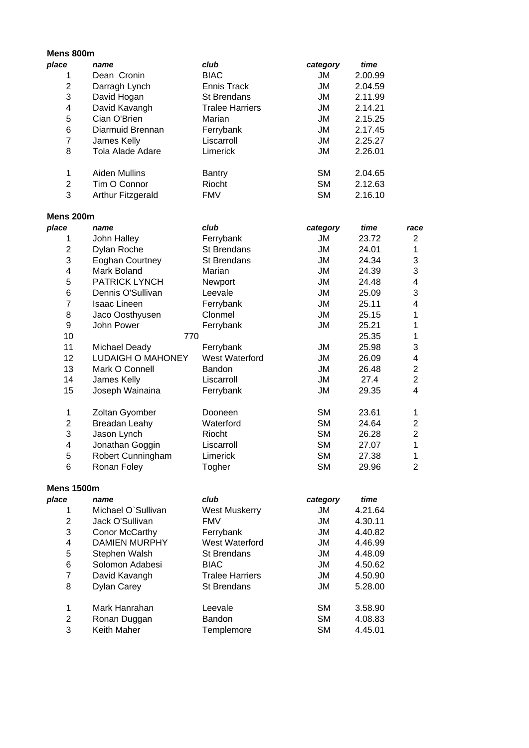| Mens 800m               |                          |                        |           |         |                           |
|-------------------------|--------------------------|------------------------|-----------|---------|---------------------------|
| place                   | name                     | club                   | category  | time    |                           |
| 1                       | Dean Cronin              | <b>BIAC</b>            | JM        | 2.00.99 |                           |
| $\overline{2}$          | Darragh Lynch            | <b>Ennis Track</b>     | JM        | 2.04.59 |                           |
| 3                       | David Hogan              | <b>St Brendans</b>     | JM        | 2.11.99 |                           |
| 4                       | David Kavangh            | <b>Tralee Harriers</b> | JM        | 2.14.21 |                           |
| 5                       | Cian O'Brien             | Marian                 | JM        | 2.15.25 |                           |
| 6                       | Diarmuid Brennan         | Ferrybank              | <b>JM</b> | 2.17.45 |                           |
| $\overline{7}$          | James Kelly              | Liscarroll             | <b>JM</b> | 2.25.27 |                           |
| 8                       | Tola Alade Adare         | Limerick               | <b>JM</b> | 2.26.01 |                           |
| 1                       | <b>Aiden Mullins</b>     | <b>Bantry</b>          | <b>SM</b> | 2.04.65 |                           |
| $\overline{\mathbf{c}}$ | Tim O Connor             | Riocht                 | <b>SM</b> | 2.12.63 |                           |
| 3                       | Arthur Fitzgerald        | <b>FMV</b>             | <b>SM</b> | 2.16.10 |                           |
| Mens 200m               |                          |                        |           |         |                           |
| place                   | name                     | club                   | category  | time    | race                      |
| 1                       | John Halley              | Ferrybank              | JM        | 23.72   | $\overline{2}$            |
| $\overline{c}$          | Dylan Roche              | St Brendans            | JM        | 24.01   | $\mathbf 1$               |
| 3                       | Eoghan Courtney          | <b>St Brendans</b>     | <b>JM</b> | 24.34   | $\ensuremath{\mathsf{3}}$ |
| 4                       | Mark Boland              | Marian                 | <b>JM</b> | 24.39   | 3                         |
| 5                       | <b>PATRICK LYNCH</b>     | Newport                | <b>JM</b> | 24.48   | $\overline{\mathbf{4}}$   |
| 6                       | Dennis O'Sullivan        | Leevale                | <b>JM</b> | 25.09   | $\mathbf{3}$              |
| $\overline{7}$          | <b>Isaac Lineen</b>      | Ferrybank              | <b>JM</b> | 25.11   | $\overline{\mathbf{4}}$   |
| 8                       | Jaco Oosthyusen          | Clonmel                | <b>JM</b> | 25.15   | $\mathbf{1}$              |
| 9                       | John Power               | Ferrybank              | <b>JM</b> | 25.21   | $\mathbf{1}$              |
| 10                      | 770                      |                        |           | 25.35   | $\mathbf{1}$              |
| 11                      | <b>Michael Deady</b>     | Ferrybank              | <b>JM</b> | 25.98   | $\sqrt{3}$                |
| 12                      | <b>LUDAIGH O MAHONEY</b> | West Waterford         | <b>JM</b> | 26.09   | 4                         |
| 13                      | Mark O Connell           | Bandon                 | JM        | 26.48   | $\overline{2}$            |
| 14                      | James Kelly              | Liscarroll             | <b>JM</b> | 27.4    | $\overline{2}$            |
| 15                      | Joseph Wainaina          | Ferrybank              | JM        | 29.35   | $\overline{4}$            |
| 1                       | Zoltan Gyomber           | Dooneen                | <b>SM</b> | 23.61   | $\mathbf{1}$              |
| $\overline{\mathbf{c}}$ | <b>Breadan Leahy</b>     | Waterford              | <b>SM</b> | 24.64   | $\overline{c}$            |
| 3                       | Jason Lynch              | Riocht                 | <b>SM</b> | 26.28   | $\overline{2}$            |
| 4                       | Jonathan Goggin          | Liscarroll             | <b>SM</b> | 27.07   | $\mathbf 1$               |
| 5                       | Robert Cunningham        | Limerick               | SM        | 27.38   | $\mathbf{1}$              |
| 6                       | Ronan Foley              | Togher                 | <b>SM</b> | 29.96   | $\overline{2}$            |
| <b>Mens 1500m</b>       |                          |                        |           |         |                           |
| place                   | name                     | club                   | category  | time    |                           |
| 1                       | Michael O'Sullivan       | <b>West Muskerry</b>   | JM        | 4.21.64 |                           |
| $\overline{2}$          | Jack O'Sullivan          | <b>FMV</b>             | JM        | 4.30.11 |                           |
| 3                       | Conor McCarthy           | Ferrybank              | JM        | 4.40.82 |                           |
| 4                       | <b>DAMIEN MURPHY</b>     | West Waterford         | JM        | 4.46.99 |                           |
| 5                       | Stephen Walsh            | St Brendans            | JM        | 4.48.09 |                           |
| 6                       | Solomon Adabesi          | <b>BIAC</b>            | JM        | 4.50.62 |                           |

7 David Kavangh Tralee Harriers JM 4.50.90 8 Dylan Carey St Brendans JM 5.28.00

1 Mark Hanrahan Leevale SM 3.58.90 2 Ronan Duggan Bandon Bandon SM 4.08.83<br>3 Keith Maher Templemore SM 4.45.01 Templemore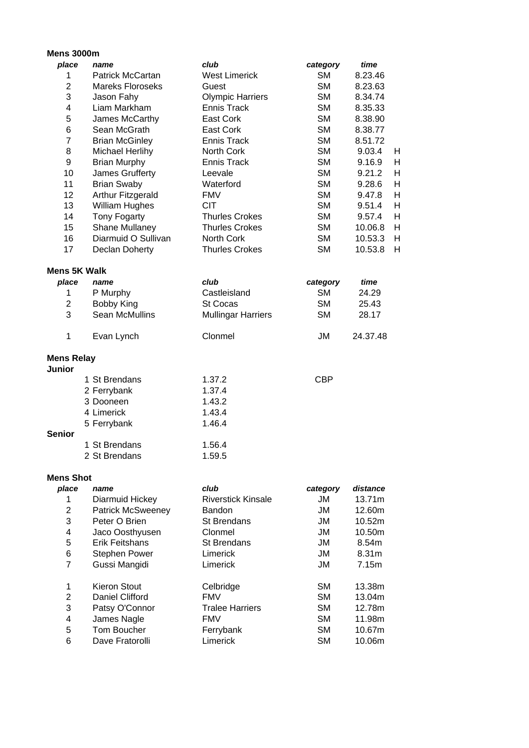## **Mens 3000m**

| place                              | name                    | club                      | category   | time     |              |
|------------------------------------|-------------------------|---------------------------|------------|----------|--------------|
| 1                                  | Patrick McCartan        | <b>West Limerick</b>      | <b>SM</b>  | 8.23.46  |              |
| $\overline{2}$                     | <b>Mareks Floroseks</b> | Guest                     | <b>SM</b>  | 8.23.63  |              |
| 3                                  | Jason Fahy              | <b>Olympic Harriers</b>   | <b>SM</b>  | 8.34.74  |              |
| $\overline{\mathbf{4}}$            | Liam Markham            | <b>Ennis Track</b>        | <b>SM</b>  | 8.35.33  |              |
| 5                                  | James McCarthy          | East Cork                 | <b>SM</b>  | 8.38.90  |              |
| 6                                  | Sean McGrath            | <b>East Cork</b>          | <b>SM</b>  | 8.38.77  |              |
| $\overline{7}$                     | <b>Brian McGinley</b>   | <b>Ennis Track</b>        | <b>SM</b>  | 8.51.72  |              |
| 8                                  | Michael Herlihy         | North Cork                | <b>SM</b>  | 9.03.4   | Н            |
| 9                                  | <b>Brian Murphy</b>     | Ennis Track               | <b>SM</b>  | 9.16.9   | Н            |
| 10                                 | James Grufferty         | Leevale                   | <b>SM</b>  | 9.21.2   | $\mathsf{H}$ |
| 11                                 | <b>Brian Swaby</b>      | Waterford                 | <b>SM</b>  | 9.28.6   | $\mathsf{H}$ |
| 12                                 | Arthur Fitzgerald       | <b>FMV</b>                | <b>SM</b>  | 9.47.8   | $\mathsf{H}$ |
| 13                                 | <b>William Hughes</b>   | <b>CIT</b>                | <b>SM</b>  | 9.51.4   | Н            |
| 14                                 | <b>Tony Fogarty</b>     | <b>Thurles Crokes</b>     | <b>SM</b>  | 9.57.4   | $\mathsf{H}$ |
| 15                                 | Shane Mullaney          | <b>Thurles Crokes</b>     | <b>SM</b>  | 10.06.8  | $\mathsf{H}$ |
| 16                                 | Diarmuid O Sullivan     | <b>North Cork</b>         | <b>SM</b>  | 10.53.3  | $\mathsf{H}$ |
| 17                                 | Declan Doherty          | <b>Thurles Crokes</b>     | <b>SM</b>  | 10.53.8  | $\mathsf{H}$ |
| <b>Mens 5K Walk</b>                |                         |                           |            |          |              |
| place                              | name                    | club                      | category   | time     |              |
| 1                                  | P Murphy                | Castleisland              | <b>SM</b>  | 24.29    |              |
| $\mathbf{2}$                       | <b>Bobby King</b>       | <b>St Cocas</b>           | <b>SM</b>  | 25.43    |              |
| 3                                  | <b>Sean McMullins</b>   | <b>Mullingar Harriers</b> | <b>SM</b>  | 28.17    |              |
| 1                                  | Evan Lynch              | Clonmel                   | <b>JM</b>  | 24.37.48 |              |
| <b>Mens Relay</b><br><b>Junior</b> |                         |                           |            |          |              |
|                                    | 1 St Brendans           | 1.37.2                    | <b>CBP</b> |          |              |
|                                    | 2 Ferrybank             | 1.37.4                    |            |          |              |
|                                    | 3 Dooneen               | 1.43.2                    |            |          |              |
|                                    | 4 Limerick              | 1.43.4                    |            |          |              |
|                                    | 5 Ferrybank             | 1.46.4                    |            |          |              |
| <b>Senior</b>                      |                         |                           |            |          |              |
|                                    | 1 St Brendans           | 1.56.4                    |            |          |              |
|                                    | 2 St Brendans           | 1.59.5                    |            |          |              |
|                                    |                         |                           |            |          |              |

## **Mens Shot**

| place | name                     | club                      | category  | distance          |
|-------|--------------------------|---------------------------|-----------|-------------------|
| 1     | Diarmuid Hickey          | <b>Riverstick Kinsale</b> | JM        | 13.71m            |
| 2     | <b>Patrick McSweeney</b> | Bandon                    | JM        | 12.60m            |
| 3     | Peter O Brien            | <b>St Brendans</b>        | JM        | 10.52m            |
| 4     | Jaco Oosthyusen          | Clonmel                   | JM.       | 10.50m            |
| 5     | Erik Feitshans           | <b>St Brendans</b>        | JM        | 8.54m             |
| 6     | <b>Stephen Power</b>     | Limerick                  | JM.       | 8.31 <sub>m</sub> |
| 7     | Gussi Mangidi            | Limerick                  | JM        | 7.15m             |
| 1     | <b>Kieron Stout</b>      | Celbridge                 | <b>SM</b> | 13.38m            |
| 2     | Daniel Clifford          | <b>FMV</b>                | <b>SM</b> | 13.04m            |
| 3     | Patsy O'Connor           | <b>Tralee Harriers</b>    | <b>SM</b> | 12.78m            |
| 4     | James Nagle              | <b>FMV</b>                | <b>SM</b> | 11.98m            |
| 5     | Tom Boucher              | Ferrybank                 | <b>SM</b> | 10.67m            |
| 6     | Dave Fratorolli          | Limerick                  | <b>SM</b> | 10.06m            |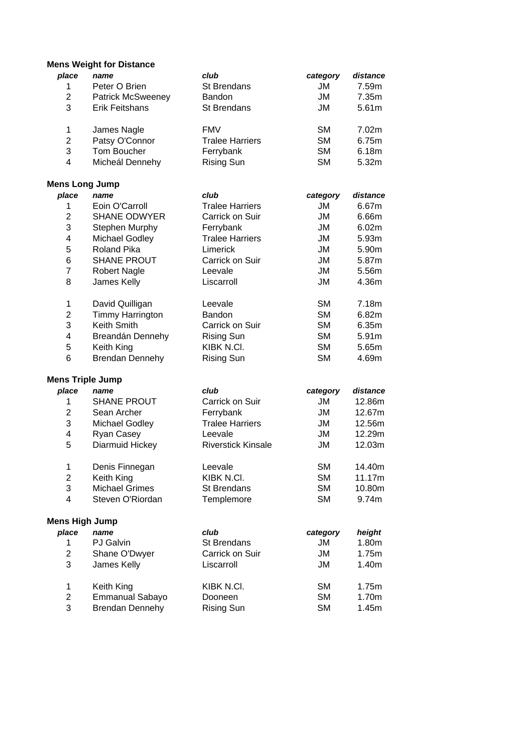## **Mens Weight for Distance**

| place                   | name                     | club                      | category  | distance          |
|-------------------------|--------------------------|---------------------------|-----------|-------------------|
| 1                       | Peter O Brien            | <b>St Brendans</b>        | JM        | 7.59m             |
| $\overline{2}$          | <b>Patrick McSweeney</b> | Bandon                    | JM        | 7.35m             |
| 3                       | <b>Erik Feitshans</b>    | <b>St Brendans</b>        | <b>JM</b> | 5.61m             |
| 1                       | James Nagle              | <b>FMV</b>                | <b>SM</b> | 7.02m             |
| $\overline{c}$          | Patsy O'Connor           | <b>Tralee Harriers</b>    | <b>SM</b> | 6.75m             |
| 3                       | Tom Boucher              | Ferrybank                 | <b>SM</b> | 6.18m             |
| 4                       | Micheál Dennehy          | <b>Rising Sun</b>         | <b>SM</b> | 5.32m             |
| <b>Mens Long Jump</b>   |                          |                           |           |                   |
| place                   | name                     | club                      | category  | distance          |
| 1                       | Eoin O'Carroll           | <b>Tralee Harriers</b>    | JM        | 6.67m             |
| $\overline{c}$          | <b>SHANE ODWYER</b>      | Carrick on Suir           | JM        | 6.66m             |
| 3                       | Stephen Murphy           | Ferrybank                 | <b>JM</b> | 6.02m             |
| 4                       | Michael Godley           | <b>Tralee Harriers</b>    | <b>JM</b> | 5.93m             |
| 5                       | <b>Roland Pika</b>       | Limerick                  | JM        | 5.90m             |
| 6                       | <b>SHANE PROUT</b>       | Carrick on Suir           | <b>JM</b> | 5.87m             |
| $\overline{7}$          | <b>Robert Nagle</b>      | Leevale                   | <b>JM</b> | 5.56m             |
| 8                       | James Kelly              | Liscarroll                | <b>JM</b> | 4.36m             |
| 1                       | David Quilligan          | Leevale                   | <b>SM</b> | 7.18m             |
| 2                       | <b>Timmy Harrington</b>  | Bandon                    | <b>SM</b> | 6.82m             |
| 3                       | Keith Smith              | Carrick on Suir           | <b>SM</b> | 6.35m             |
| 4                       | Breandán Dennehy         | <b>Rising Sun</b>         | <b>SM</b> | 5.91m             |
| 5                       | Keith King               | KIBK N.CI.                | <b>SM</b> | 5.65m             |
| 6                       | <b>Brendan Dennehy</b>   | <b>Rising Sun</b>         | <b>SM</b> | 4.69m             |
|                         | <b>Mens Triple Jump</b>  |                           |           |                   |
| place                   | name                     | club                      | category  | distance          |
| 1                       | <b>SHANE PROUT</b>       | Carrick on Suir           | JM        | 12.86m            |
| $\overline{\mathbf{c}}$ | Sean Archer              | Ferrybank                 | JM        | 12.67m            |
| 3                       | Michael Godley           | <b>Tralee Harriers</b>    | JM        | 12.56m            |
| 4                       | Ryan Casey               | Leevale                   | JM        | 12.29m            |
| 5                       | Diarmuid Hickey          | <b>Riverstick Kinsale</b> | JM        | 12.03m            |
| 1                       | Denis Finnegan           | Leevale                   | <b>SM</b> | 14.40m            |
| $\overline{c}$          | Keith King               | KIBK N.CI.                | <b>SM</b> | 11.17m            |
| 3                       | <b>Michael Grimes</b>    | <b>St Brendans</b>        | <b>SM</b> | 10.80m            |
| 4                       | Steven O'Riordan         | Templemore                | <b>SM</b> | 9.74m             |
| <b>Mens High Jump</b>   |                          |                           |           |                   |
| place                   | name                     | club                      | category  | height            |
| $\mathbf{1}$            | <b>PJ</b> Galvin         | <b>St Brendans</b>        | JM        | 1.80 <sub>m</sub> |
| $\overline{\mathbf{c}}$ | Shane O'Dwyer            | Carrick on Suir           | JM        | 1.75m             |
| 3                       | James Kelly              | Liscarroll                | JM        | 1.40m             |
| $\mathbf 1$             | Keith King               | KIBK N.CI.                | <b>SM</b> | 1.75m             |
| $\overline{c}$          | <b>Emmanual Sabayo</b>   | Dooneen                   | <b>SM</b> | 1.70m             |
| 3                       | <b>Brendan Dennehy</b>   | <b>Rising Sun</b>         | <b>SM</b> | 1.45m             |